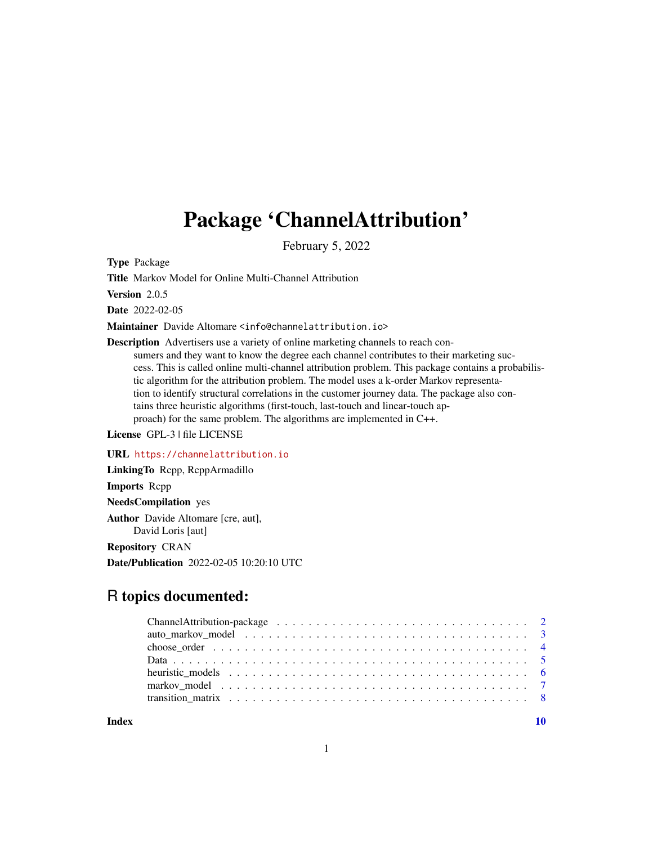## Package 'ChannelAttribution'

February 5, 2022

Type Package

Title Markov Model for Online Multi-Channel Attribution

Version 2.0.5

Date 2022-02-05

Maintainer Davide Altomare <info@channelattribution.io>

Description Advertisers use a variety of online marketing channels to reach consumers and they want to know the degree each channel contributes to their marketing success. This is called online multi-channel attribution problem. This package contains a probabilistic algorithm for the attribution problem. The model uses a k-order Markov representation to identify structural correlations in the customer journey data. The package also contains three heuristic algorithms (first-touch, last-touch and linear-touch approach) for the same problem. The algorithms are implemented in C++.

License GPL-3 | file LICENSE

URL <https://channelattribution.io>

LinkingTo Rcpp, RcppArmadillo Imports Rcpp NeedsCompilation yes Author Davide Altomare [cre, aut], David Loris [aut] Repository CRAN

Date/Publication 2022-02-05 10:20:10 UTC

### R topics documented:

 $\blacksquare$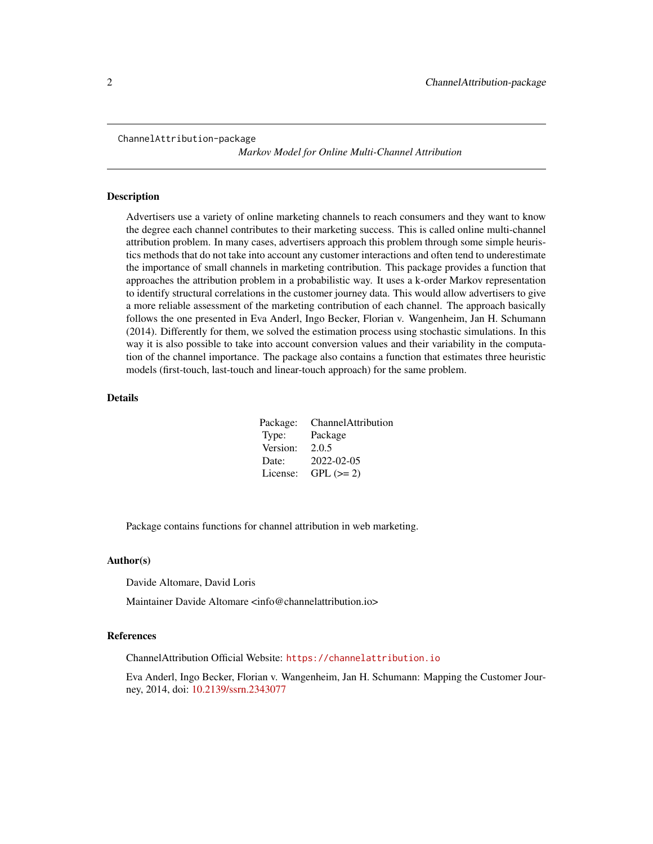<span id="page-1-0"></span>ChannelAttribution-package

*Markov Model for Online Multi-Channel Attribution*

#### Description

Advertisers use a variety of online marketing channels to reach consumers and they want to know the degree each channel contributes to their marketing success. This is called online multi-channel attribution problem. In many cases, advertisers approach this problem through some simple heuristics methods that do not take into account any customer interactions and often tend to underestimate the importance of small channels in marketing contribution. This package provides a function that approaches the attribution problem in a probabilistic way. It uses a k-order Markov representation to identify structural correlations in the customer journey data. This would allow advertisers to give a more reliable assessment of the marketing contribution of each channel. The approach basically follows the one presented in Eva Anderl, Ingo Becker, Florian v. Wangenheim, Jan H. Schumann (2014). Differently for them, we solved the estimation process using stochastic simulations. In this way it is also possible to take into account conversion values and their variability in the computation of the channel importance. The package also contains a function that estimates three heuristic models (first-touch, last-touch and linear-touch approach) for the same problem.

#### Details

|          | Package: ChannelAttribution |
|----------|-----------------------------|
| Type:    | Package                     |
| Version: | 2.0.5                       |
| Date:    | 2022-02-05                  |
| License: | $GPL (= 2)$                 |

Package contains functions for channel attribution in web marketing.

#### Author(s)

Davide Altomare, David Loris

Maintainer Davide Altomare <info@channelattribution.io>

#### References

ChannelAttribution Official Website: <https://channelattribution.io>

Eva Anderl, Ingo Becker, Florian v. Wangenheim, Jan H. Schumann: Mapping the Customer Journey, 2014, doi: [10.2139/ssrn.2343077](https://doi.org/10.2139/ssrn.2343077)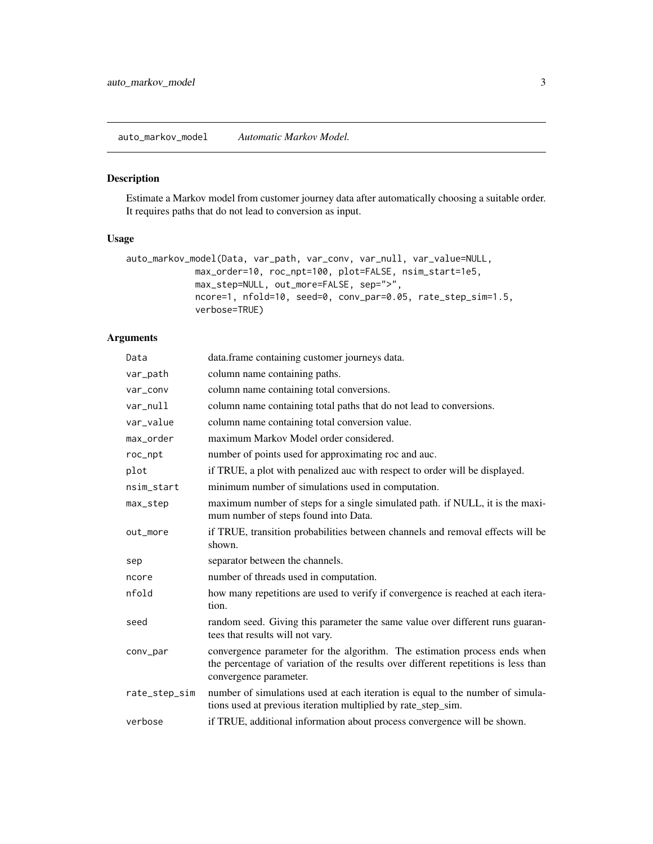<span id="page-2-0"></span>auto\_markov\_model *Automatic Markov Model.*

#### Description

Estimate a Markov model from customer journey data after automatically choosing a suitable order. It requires paths that do not lead to conversion as input.

#### Usage

```
auto_markov_model(Data, var_path, var_conv, var_null, var_value=NULL,
            max_order=10, roc_npt=100, plot=FALSE, nsim_start=1e5,
            max_step=NULL, out_more=FALSE, sep=">",
             ncore=1, nfold=10, seed=0, conv_par=0.05, rate_step_sim=1.5,
             verbose=TRUE)
```
#### Arguments

| Data          | data.frame containing customer journeys data.                                                                                                                                             |
|---------------|-------------------------------------------------------------------------------------------------------------------------------------------------------------------------------------------|
| var_path      | column name containing paths.                                                                                                                                                             |
| var_conv      | column name containing total conversions.                                                                                                                                                 |
| var_null      | column name containing total paths that do not lead to conversions.                                                                                                                       |
| var_value     | column name containing total conversion value.                                                                                                                                            |
| max_order     | maximum Markov Model order considered.                                                                                                                                                    |
| roc_npt       | number of points used for approximating roc and auc.                                                                                                                                      |
| plot          | if TRUE, a plot with penalized auc with respect to order will be displayed.                                                                                                               |
| nsim_start    | minimum number of simulations used in computation.                                                                                                                                        |
| max_step      | maximum number of steps for a single simulated path. if NULL, it is the maxi-<br>mum number of steps found into Data.                                                                     |
| out_more      | if TRUE, transition probabilities between channels and removal effects will be<br>shown.                                                                                                  |
| sep           | separator between the channels.                                                                                                                                                           |
| ncore         | number of threads used in computation.                                                                                                                                                    |
| nfold         | how many repetitions are used to verify if convergence is reached at each itera-<br>tion.                                                                                                 |
| seed          | random seed. Giving this parameter the same value over different runs guaran-<br>tees that results will not vary.                                                                         |
| conv_par      | convergence parameter for the algorithm. The estimation process ends when<br>the percentage of variation of the results over different repetitions is less than<br>convergence parameter. |
| rate_step_sim | number of simulations used at each iteration is equal to the number of simula-<br>tions used at previous iteration multiplied by rate_step_sim.                                           |
| verbose       | if TRUE, additional information about process convergence will be shown.                                                                                                                  |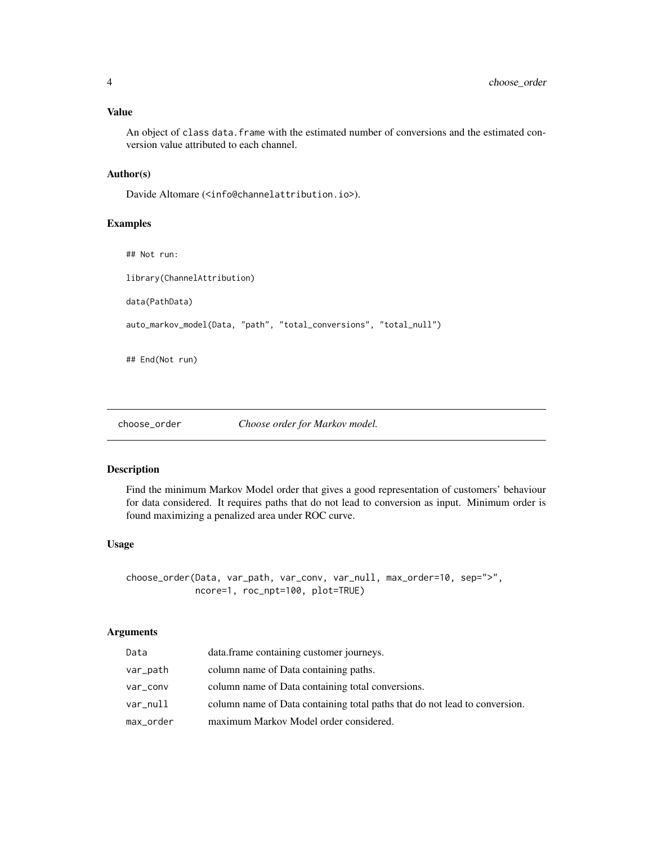<span id="page-3-0"></span>An object of class data.frame with the estimated number of conversions and the estimated conversion value attributed to each channel.

#### Author(s)

Davide Altomare (<info@channelattribution.io>).

#### Examples

## Not run: library(ChannelAttribution) data(PathData) auto\_markov\_model(Data, "path", "total\_conversions", "total\_null")

## End(Not run)

choose\_order *Choose order for Markov model.*

#### Description

Find the minimum Markov Model order that gives a good representation of customers' behaviour for data considered. It requires paths that do not lead to conversion as input. Minimum order is found maximizing a penalized area under ROC curve.

#### Usage

```
choose_order(Data, var_path, var_conv, var_null, max_order=10, sep=">",
            ncore=1, roc_npt=100, plot=TRUE)
```
#### Arguments

| Data      | data.frame containing customer journeys.                                   |
|-----------|----------------------------------------------------------------------------|
| var_path  | column name of Data containing paths.                                      |
| var_conv  | column name of Data containing total conversions.                          |
| var_null  | column name of Data containing total paths that do not lead to conversion. |
| max_order | maximum Markov Model order considered.                                     |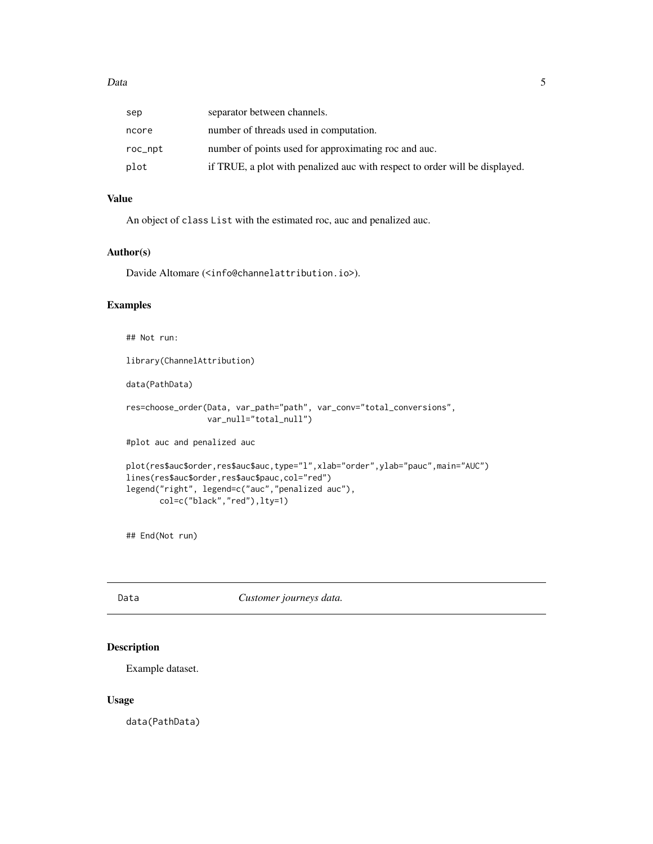<span id="page-4-0"></span>

| sep     | separator between channels.                                                 |
|---------|-----------------------------------------------------------------------------|
| ncore   | number of threads used in computation.                                      |
| roc_npt | number of points used for approximating roc and auc.                        |
| plot    | if TRUE, a plot with penalized auc with respect to order will be displayed. |

#### Value

An object of class List with the estimated roc, auc and penalized auc.

#### Author(s)

Davide Altomare (<info@channelattribution.io>).

#### Examples

```
## Not run:
library(ChannelAttribution)
data(PathData)
res=choose_order(Data, var_path="path", var_conv="total_conversions",
                 var_null="total_null")
#plot auc and penalized auc
plot(res$auc$order,res$auc$auc,type="l",xlab="order",ylab="pauc",main="AUC")
lines(res$auc$order,res$auc$pauc,col="red")
legend("right", legend=c("auc","penalized auc"),
      col=c("black","red"),lty=1)
```
## End(Not run)

Data *Customer journeys data.*

#### Description

Example dataset.

#### Usage

data(PathData)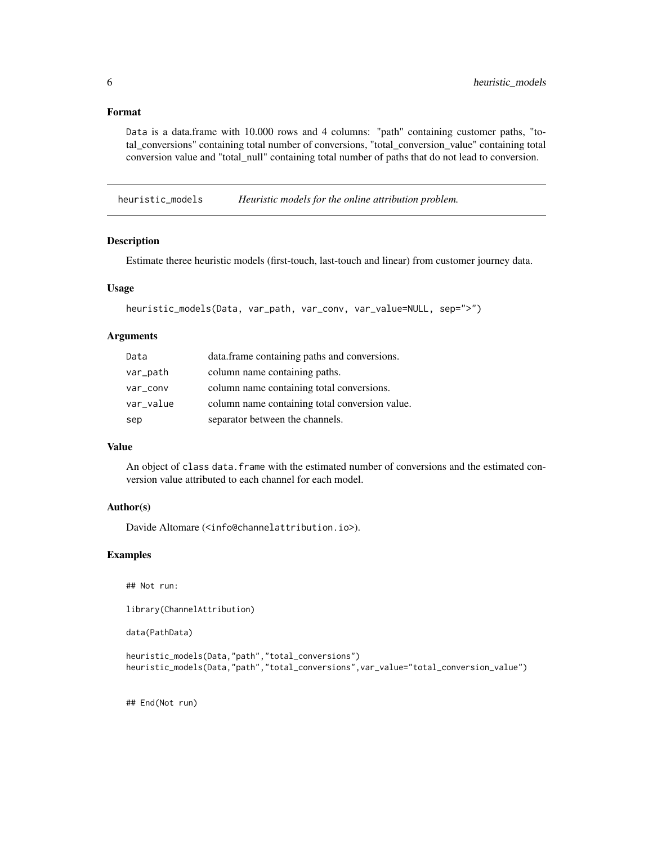#### <span id="page-5-0"></span>Format

Data is a data.frame with 10.000 rows and 4 columns: "path" containing customer paths, "total\_conversions" containing total number of conversions, "total\_conversion\_value" containing total conversion value and "total\_null" containing total number of paths that do not lead to conversion.

heuristic\_models *Heuristic models for the online attribution problem.*

#### Description

Estimate theree heuristic models (first-touch, last-touch and linear) from customer journey data.

#### Usage

```
heuristic_models(Data, var_path, var_conv, var_value=NULL, sep=">")
```
#### Arguments

| Data      | data.frame containing paths and conversions.   |
|-----------|------------------------------------------------|
| var_path  | column name containing paths.                  |
| var_conv  | column name containing total conversions.      |
| var_value | column name containing total conversion value. |
| sep       | separator between the channels.                |

#### Value

An object of class data.frame with the estimated number of conversions and the estimated conversion value attributed to each channel for each model.

#### Author(s)

Davide Altomare (<info@channelattribution.io>).

#### Examples

```
## Not run:
```
library(ChannelAttribution)

data(PathData)

```
heuristic_models(Data,"path","total_conversions")
heuristic_models(Data,"path","total_conversions",var_value="total_conversion_value")
```
## End(Not run)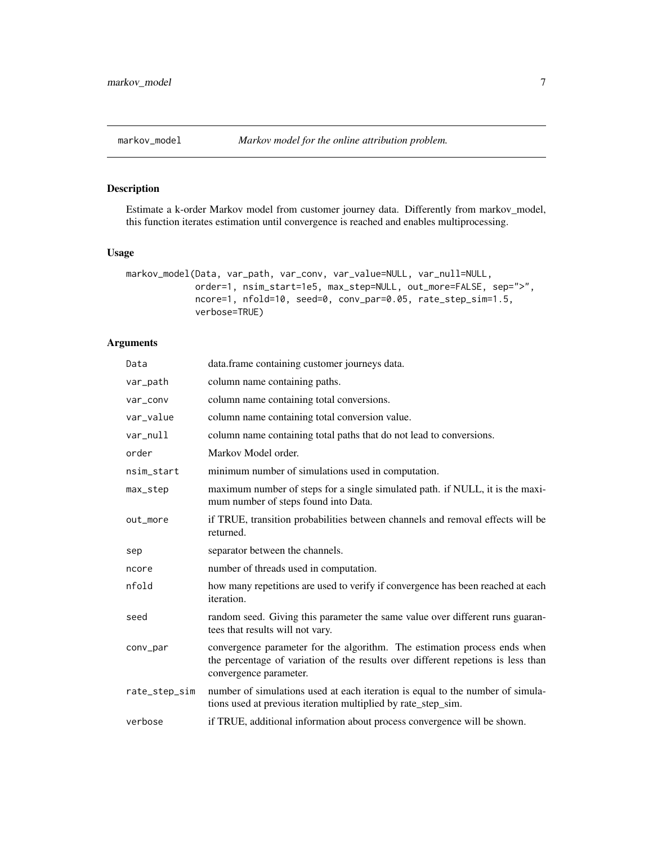<span id="page-6-0"></span>

#### Description

Estimate a k-order Markov model from customer journey data. Differently from markov\_model, this function iterates estimation until convergence is reached and enables multiprocessing.

#### Usage

```
markov_model(Data, var_path, var_conv, var_value=NULL, var_null=NULL,
             order=1, nsim_start=1e5, max_step=NULL, out_more=FALSE, sep=">",
             ncore=1, nfold=10, seed=0, conv_par=0.05, rate_step_sim=1.5,
             verbose=TRUE)
```
#### Arguments

| Data          | data. frame containing customer journeys data.                                                                                                                                          |
|---------------|-----------------------------------------------------------------------------------------------------------------------------------------------------------------------------------------|
| var_path      | column name containing paths.                                                                                                                                                           |
| var_conv      | column name containing total conversions.                                                                                                                                               |
| var_value     | column name containing total conversion value.                                                                                                                                          |
| var_null      | column name containing total paths that do not lead to conversions.                                                                                                                     |
| order         | Markov Model order.                                                                                                                                                                     |
| nsim_start    | minimum number of simulations used in computation.                                                                                                                                      |
| max_step      | maximum number of steps for a single simulated path. if NULL, it is the maxi-<br>mum number of steps found into Data.                                                                   |
| out_more      | if TRUE, transition probabilities between channels and removal effects will be<br>returned.                                                                                             |
| sep           | separator between the channels.                                                                                                                                                         |
| ncore         | number of threads used in computation.                                                                                                                                                  |
| nfold         | how many repetitions are used to verify if convergence has been reached at each<br>iteration.                                                                                           |
| seed          | random seed. Giving this parameter the same value over different runs guaran-<br>tees that results will not vary.                                                                       |
| conv_par      | convergence parameter for the algorithm. The estimation process ends when<br>the percentage of variation of the results over different repetions is less than<br>convergence parameter. |
| rate_step_sim | number of simulations used at each iteration is equal to the number of simula-<br>tions used at previous iteration multiplied by rate_step_sim.                                         |
| verbose       | if TRUE, additional information about process convergence will be shown.                                                                                                                |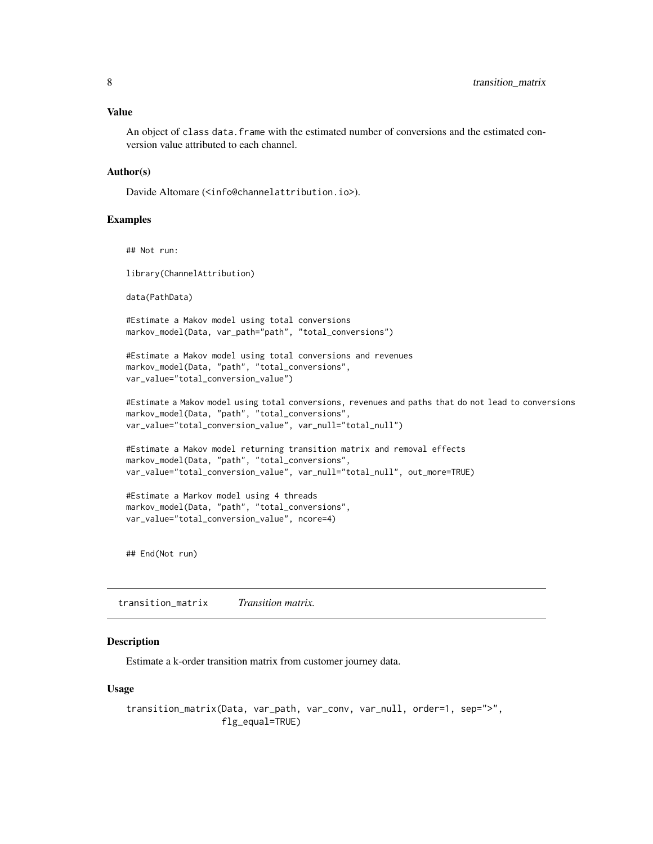#### <span id="page-7-0"></span>Value

An object of class data.frame with the estimated number of conversions and the estimated conversion value attributed to each channel.

#### Author(s)

Davide Altomare (<info@channelattribution.io>).

#### Examples

## Not run:

library(ChannelAttribution)

data(PathData)

#Estimate a Makov model using total conversions markov\_model(Data, var\_path="path", "total\_conversions")

```
#Estimate a Makov model using total conversions and revenues
markov_model(Data, "path", "total_conversions",
var_value="total_conversion_value")
```

```
#Estimate a Makov model using total conversions, revenues and paths that do not lead to conversions
markov_model(Data, "path", "total_conversions",
var_value="total_conversion_value", var_null="total_null")
```

```
#Estimate a Makov model returning transition matrix and removal effects
markov_model(Data, "path", "total_conversions",
var_value="total_conversion_value", var_null="total_null", out_more=TRUE)
```

```
#Estimate a Markov model using 4 threads
markov_model(Data, "path", "total_conversions",
var_value="total_conversion_value", ncore=4)
```
## End(Not run)

transition\_matrix *Transition matrix.*

#### Description

Estimate a k-order transition matrix from customer journey data.

#### Usage

```
transition_matrix(Data, var_path, var_conv, var_null, order=1, sep=">",
                  flg_equal=TRUE)
```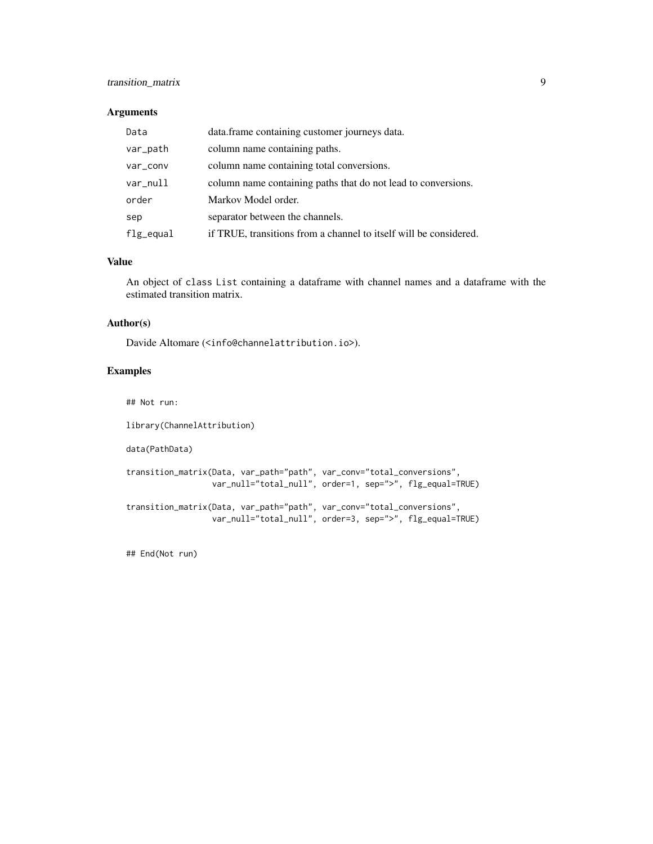#### transition\_matrix 9

#### Arguments

| Data      | data.frame containing customer journeys data.                     |
|-----------|-------------------------------------------------------------------|
| var_path  | column name containing paths.                                     |
| var_conv  | column name containing total conversions.                         |
| var_null  | column name containing paths that do not lead to conversions.     |
| order     | Markov Model order.                                               |
| sep       | separator between the channels.                                   |
| flg_equal | if TRUE, transitions from a channel to itself will be considered. |

#### Value

An object of class List containing a dataframe with channel names and a dataframe with the estimated transition matrix.

#### Author(s)

Davide Altomare (<info@channelattribution.io>).

#### Examples

## Not run: library(ChannelAttribution) data(PathData) transition\_matrix(Data, var\_path="path", var\_conv="total\_conversions", var\_null="total\_null", order=1, sep=">", flg\_equal=TRUE)

transition\_matrix(Data, var\_path="path", var\_conv="total\_conversions", var\_null="total\_null", order=3, sep=">", flg\_equal=TRUE)

## End(Not run)